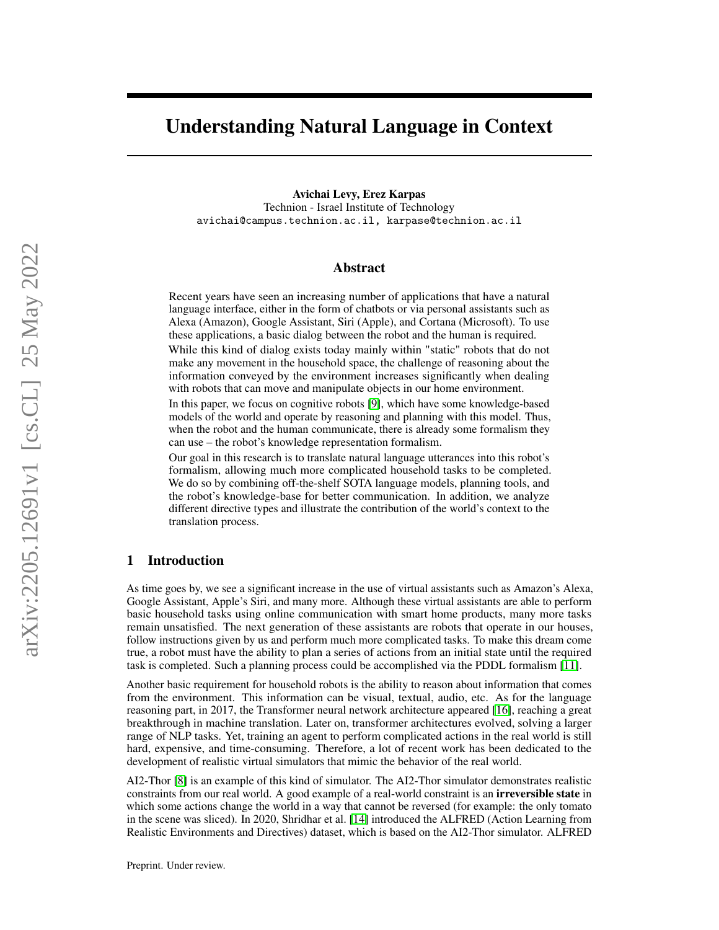# Understanding Natural Language in Context

Avichai Levy, Erez Karpas Technion - Israel Institute of Technology avichai@campus.technion.ac.il, karpase@technion.ac.il

## Abstract

Recent years have seen an increasing number of applications that have a natural language interface, either in the form of chatbots or via personal assistants such as Alexa (Amazon), Google Assistant, Siri (Apple), and Cortana (Microsoft). To use these applications, a basic dialog between the robot and the human is required.

While this kind of dialog exists today mainly within "static" robots that do not make any movement in the household space, the challenge of reasoning about the information conveyed by the environment increases significantly when dealing with robots that can move and manipulate objects in our home environment.

In this paper, we focus on cognitive robots [\[9\]](#page-9-0), which have some knowledge-based models of the world and operate by reasoning and planning with this model. Thus, when the robot and the human communicate, there is already some formalism they can use – the robot's knowledge representation formalism.

Our goal in this research is to translate natural language utterances into this robot's formalism, allowing much more complicated household tasks to be completed. We do so by combining off-the-shelf SOTA language models, planning tools, and the robot's knowledge-base for better communication. In addition, we analyze different directive types and illustrate the contribution of the world's context to the translation process.

## 1 Introduction

As time goes by, we see a significant increase in the use of virtual assistants such as Amazon's Alexa, Google Assistant, Apple's Siri, and many more. Although these virtual assistants are able to perform basic household tasks using online communication with smart home products, many more tasks remain unsatisfied. The next generation of these assistants are robots that operate in our houses, follow instructions given by us and perform much more complicated tasks. To make this dream come true, a robot must have the ability to plan a series of actions from an initial state until the required task is completed. Such a planning process could be accomplished via the PDDL formalism [\[11\]](#page-9-1).

Another basic requirement for household robots is the ability to reason about information that comes from the environment. This information can be visual, textual, audio, etc. As for the language reasoning part, in 2017, the Transformer neural network architecture appeared [\[16\]](#page-9-2), reaching a great breakthrough in machine translation. Later on, transformer architectures evolved, solving a larger range of NLP tasks. Yet, training an agent to perform complicated actions in the real world is still hard, expensive, and time-consuming. Therefore, a lot of recent work has been dedicated to the development of realistic virtual simulators that mimic the behavior of the real world.

AI2-Thor [\[8\]](#page-9-3) is an example of this kind of simulator. The AI2-Thor simulator demonstrates realistic constraints from our real world. A good example of a real-world constraint is an irreversible state in which some actions change the world in a way that cannot be reversed (for example: the only tomato in the scene was sliced). In 2020, Shridhar et al. [\[14\]](#page-9-4) introduced the ALFRED (Action Learning from Realistic Environments and Directives) dataset, which is based on the AI2-Thor simulator. ALFRED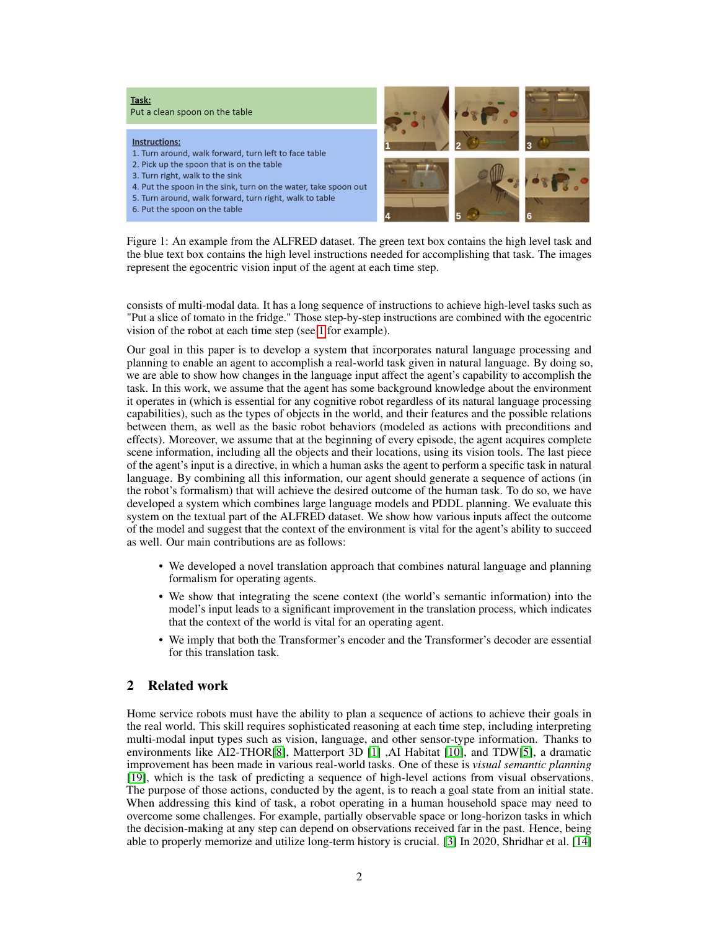

<span id="page-1-0"></span>Figure 1: An example from the ALFRED dataset. The green text box contains the high level task and the blue text box contains the high level instructions needed for accomplishing that task. The images represent the egocentric vision input of the agent at each time step.

consists of multi-modal data. It has a long sequence of instructions to achieve high-level tasks such as "Put a slice of tomato in the fridge." Those step-by-step instructions are combined with the egocentric vision of the robot at each time step (see [1](#page-1-0) for example).

Our goal in this paper is to develop a system that incorporates natural language processing and planning to enable an agent to accomplish a real-world task given in natural language. By doing so, we are able to show how changes in the language input affect the agent's capability to accomplish the task. In this work, we assume that the agent has some background knowledge about the environment it operates in (which is essential for any cognitive robot regardless of its natural language processing capabilities), such as the types of objects in the world, and their features and the possible relations between them, as well as the basic robot behaviors (modeled as actions with preconditions and effects). Moreover, we assume that at the beginning of every episode, the agent acquires complete scene information, including all the objects and their locations, using its vision tools. The last piece of the agent's input is a directive, in which a human asks the agent to perform a specific task in natural language. By combining all this information, our agent should generate a sequence of actions (in the robot's formalism) that will achieve the desired outcome of the human task. To do so, we have developed a system which combines large language models and PDDL planning. We evaluate this system on the textual part of the ALFRED dataset. We show how various inputs affect the outcome of the model and suggest that the context of the environment is vital for the agent's ability to succeed as well. Our main contributions are as follows:

- We developed a novel translation approach that combines natural language and planning formalism for operating agents.
- We show that integrating the scene context (the world's semantic information) into the model's input leads to a significant improvement in the translation process, which indicates that the context of the world is vital for an operating agent.
- We imply that both the Transformer's encoder and the Transformer's decoder are essential for this translation task.

## 2 Related work

Home service robots must have the ability to plan a sequence of actions to achieve their goals in the real world. This skill requires sophisticated reasoning at each time step, including interpreting multi-modal input types such as vision, language, and other sensor-type information. Thanks to environments like AI2-THOR[\[8\]](#page-9-3), Matterport 3D [\[1\]](#page-9-5) ,AI Habitat [\[10\]](#page-9-6), and TDW[\[5\]](#page-9-7), a dramatic improvement has been made in various real-world tasks. One of these is *visual semantic planning* [\[19\]](#page-10-0), which is the task of predicting a sequence of high-level actions from visual observations. The purpose of those actions, conducted by the agent, is to reach a goal state from an initial state. When addressing this kind of task, a robot operating in a human household space may need to overcome some challenges. For example, partially observable space or long-horizon tasks in which the decision-making at any step can depend on observations received far in the past. Hence, being able to properly memorize and utilize long-term history is crucial. [\[3\]](#page-9-8) In 2020, Shridhar et al. [\[14\]](#page-9-4)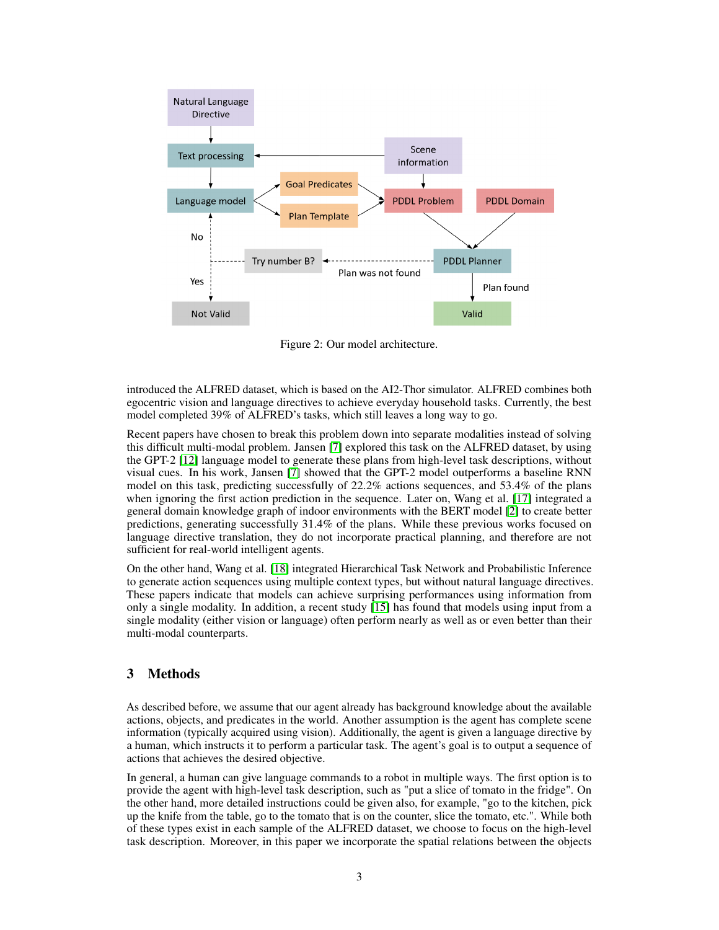

<span id="page-2-0"></span>Figure 2: Our model architecture.

introduced the ALFRED dataset, which is based on the AI2-Thor simulator. ALFRED combines both egocentric vision and language directives to achieve everyday household tasks. Currently, the best model completed 39% of ALFRED's tasks, which still leaves a long way to go.

Recent papers have chosen to break this problem down into separate modalities instead of solving this difficult multi-modal problem. Jansen [\[7\]](#page-9-9) explored this task on the ALFRED dataset, by using the GPT-2 [\[12\]](#page-9-10) language model to generate these plans from high-level task descriptions, without visual cues. In his work, Jansen [\[7\]](#page-9-9) showed that the GPT-2 model outperforms a baseline RNN model on this task, predicting successfully of 22.2% actions sequences, and 53.4% of the plans when ignoring the first action prediction in the sequence. Later on, Wang et al. [\[17\]](#page-10-1) integrated a general domain knowledge graph of indoor environments with the BERT model [\[2\]](#page-9-11) to create better predictions, generating successfully 31.4% of the plans. While these previous works focused on language directive translation, they do not incorporate practical planning, and therefore are not sufficient for real-world intelligent agents.

On the other hand, Wang et al. [\[18\]](#page-10-2) integrated Hierarchical Task Network and Probabilistic Inference to generate action sequences using multiple context types, but without natural language directives. These papers indicate that models can achieve surprising performances using information from only a single modality. In addition, a recent study [\[15\]](#page-9-12) has found that models using input from a single modality (either vision or language) often perform nearly as well as or even better than their multi-modal counterparts.

## 3 Methods

As described before, we assume that our agent already has background knowledge about the available actions, objects, and predicates in the world. Another assumption is the agent has complete scene information (typically acquired using vision). Additionally, the agent is given a language directive by a human, which instructs it to perform a particular task. The agent's goal is to output a sequence of actions that achieves the desired objective.

In general, a human can give language commands to a robot in multiple ways. The first option is to provide the agent with high-level task description, such as "put a slice of tomato in the fridge". On the other hand, more detailed instructions could be given also, for example, "go to the kitchen, pick up the knife from the table, go to the tomato that is on the counter, slice the tomato, etc.". While both of these types exist in each sample of the ALFRED dataset, we choose to focus on the high-level task description. Moreover, in this paper we incorporate the spatial relations between the objects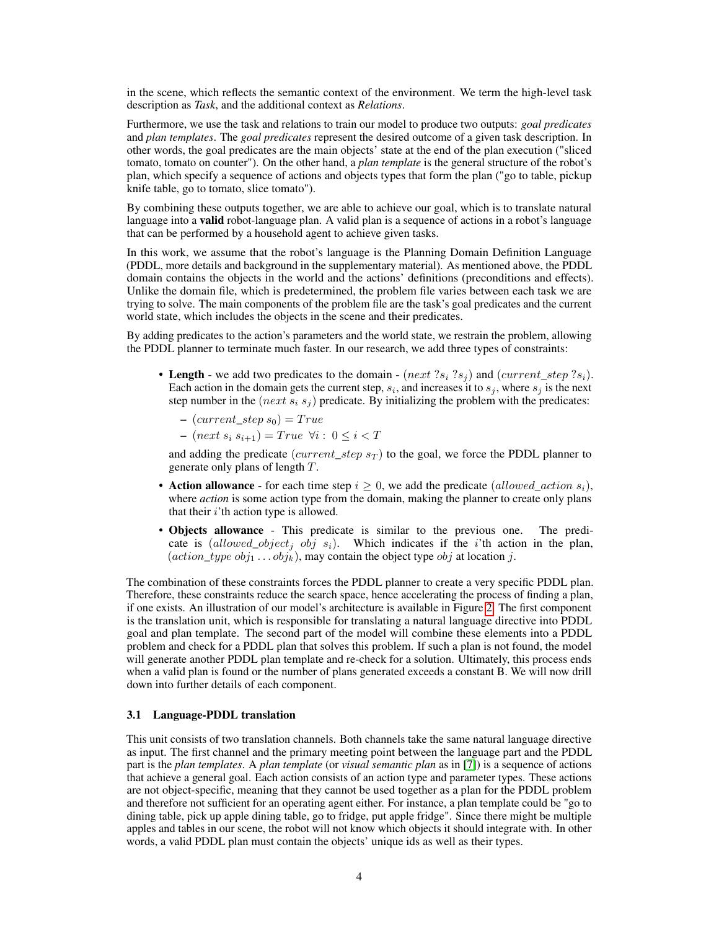in the scene, which reflects the semantic context of the environment. We term the high-level task description as *Task*, and the additional context as *Relations*.

Furthermore, we use the task and relations to train our model to produce two outputs: *goal predicates* and *plan templates*. The *goal predicates* represent the desired outcome of a given task description. In other words, the goal predicates are the main objects' state at the end of the plan execution ("sliced tomato, tomato on counter"). On the other hand, a *plan template* is the general structure of the robot's plan, which specify a sequence of actions and objects types that form the plan ("go to table, pickup knife table, go to tomato, slice tomato").

By combining these outputs together, we are able to achieve our goal, which is to translate natural language into a valid robot-language plan. A valid plan is a sequence of actions in a robot's language that can be performed by a household agent to achieve given tasks.

In this work, we assume that the robot's language is the Planning Domain Definition Language (PDDL, more details and background in the supplementary material). As mentioned above, the PDDL domain contains the objects in the world and the actions' definitions (preconditions and effects). Unlike the domain file, which is predetermined, the problem file varies between each task we are trying to solve. The main components of the problem file are the task's goal predicates and the current world state, which includes the objects in the scene and their predicates.

By adding predicates to the action's parameters and the world state, we restrain the problem, allowing the PDDL planner to terminate much faster. In our research, we add three types of constraints:

- Length we add two predicates to the domain  $(next \; ?s_i)$  and  $(current\_step \; ?s_i)$ . Each action in the domain gets the current step,  $s_i$ , and increases it to  $s_j$ , where  $s_j$  is the next step number in the (next  $\overline{s_i s_j}$ ) predicate. By initializing the problem with the predicates:
	- $-(current\_step s_0) = True$
	- $-(\text{next } s_i \text{ } s_{i+1}) = \text{True } \forall i : 0 \leq i < T$

and adding the predicate (current\_step  $s_T$ ) to the goal, we force the PDDL planner to generate only plans of length T.

- Action allowance for each time step  $i > 0$ , we add the predicate (allowed action  $s_i$ ), where *action* is some action type from the domain, making the planner to create only plans that their  $i$ 'th action type is allowed.
- Objects allowance This predicate is similar to the previous one. The predicate is (allowed\_object<sub>j</sub> obj  $s_i$ ). Which indicates if the *i*'th action in the plan,  $(\text{action\_type } obj_1 \dots obj_k)$ , may contain the object type *obj* at location j.

The combination of these constraints forces the PDDL planner to create a very specific PDDL plan. Therefore, these constraints reduce the search space, hence accelerating the process of finding a plan, if one exists. An illustration of our model's architecture is available in Figure [2.](#page-2-0) The first component is the translation unit, which is responsible for translating a natural language directive into PDDL goal and plan template. The second part of the model will combine these elements into a PDDL problem and check for a PDDL plan that solves this problem. If such a plan is not found, the model will generate another PDDL plan template and re-check for a solution. Ultimately, this process ends when a valid plan is found or the number of plans generated exceeds a constant B. We will now drill down into further details of each component.

#### 3.1 Language-PDDL translation

This unit consists of two translation channels. Both channels take the same natural language directive as input. The first channel and the primary meeting point between the language part and the PDDL part is the *plan templates*. A *plan template* (or *visual semantic plan* as in [\[7\]](#page-9-9)) is a sequence of actions that achieve a general goal. Each action consists of an action type and parameter types. These actions are not object-specific, meaning that they cannot be used together as a plan for the PDDL problem and therefore not sufficient for an operating agent either. For instance, a plan template could be "go to dining table, pick up apple dining table, go to fridge, put apple fridge". Since there might be multiple apples and tables in our scene, the robot will not know which objects it should integrate with. In other words, a valid PDDL plan must contain the objects' unique ids as well as their types.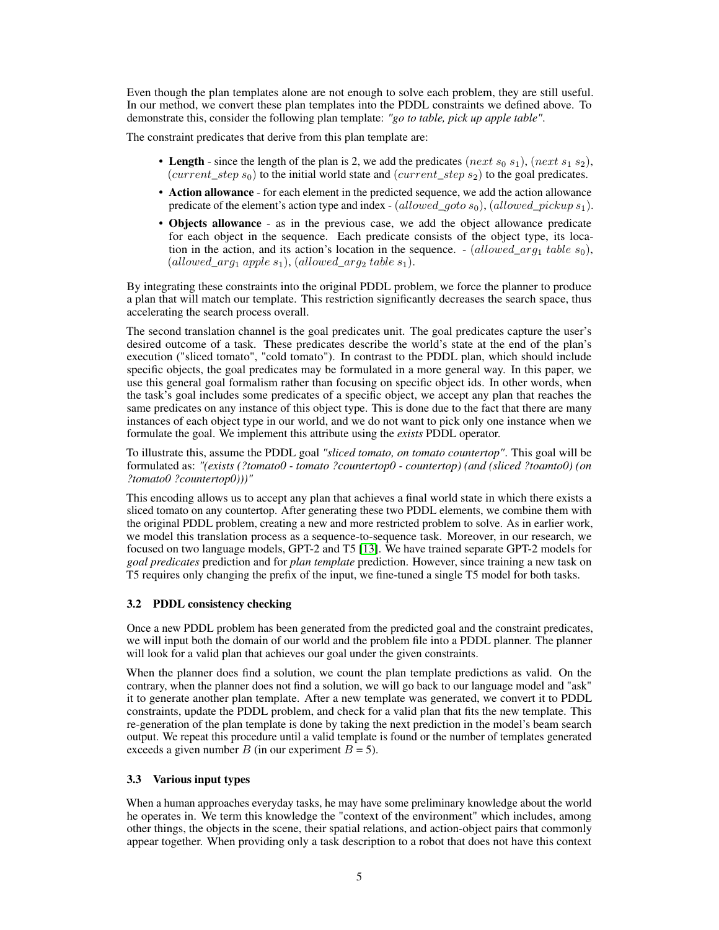Even though the plan templates alone are not enough to solve each problem, they are still useful. In our method, we convert these plan templates into the PDDL constraints we defined above. To demonstrate this, consider the following plan template: *"go to table, pick up apple table"*.

The constraint predicates that derive from this plan template are:

- Length since the length of the plan is 2, we add the predicates (next  $s_0$   $s_1$ ), (next  $s_1$   $s_2$ ), (current\_step  $s_0$ ) to the initial world state and (current\_step  $s_2$ ) to the goal predicates.
- Action allowance for each element in the predicted sequence, we add the action allowance predicate of the element's action type and index - (allowed\_goto  $s_0$ ), (allowed\_pickup  $s_1$ ).
- Objects allowance as in the previous case, we add the object allowance predicate for each object in the sequence. Each predicate consists of the object type, its location in the action, and its action's location in the sequence.  $-$  (allowed\_arg<sub>1</sub> table s<sub>0</sub>), (allowed  $arg_1 apple s_1$ ), (allowed  $arg_2 table s_1$ ).

By integrating these constraints into the original PDDL problem, we force the planner to produce a plan that will match our template. This restriction significantly decreases the search space, thus accelerating the search process overall.

The second translation channel is the goal predicates unit. The goal predicates capture the user's desired outcome of a task. These predicates describe the world's state at the end of the plan's execution ("sliced tomato", "cold tomato"). In contrast to the PDDL plan, which should include specific objects, the goal predicates may be formulated in a more general way. In this paper, we use this general goal formalism rather than focusing on specific object ids. In other words, when the task's goal includes some predicates of a specific object, we accept any plan that reaches the same predicates on any instance of this object type. This is done due to the fact that there are many instances of each object type in our world, and we do not want to pick only one instance when we formulate the goal. We implement this attribute using the *exists* PDDL operator.

To illustrate this, assume the PDDL goal *"sliced tomato, on tomato countertop"*. This goal will be formulated as: *"(exists (?tomato0 - tomato ?countertop0 - countertop) (and (sliced ?toamto0) (on ?tomato0 ?countertop0)))"*

This encoding allows us to accept any plan that achieves a final world state in which there exists a sliced tomato on any countertop. After generating these two PDDL elements, we combine them with the original PDDL problem, creating a new and more restricted problem to solve. As in earlier work, we model this translation process as a sequence-to-sequence task. Moreover, in our research, we focused on two language models, GPT-2 and T5 [\[13\]](#page-9-13). We have trained separate GPT-2 models for *goal predicates* prediction and for *plan template* prediction. However, since training a new task on T5 requires only changing the prefix of the input, we fine-tuned a single T5 model for both tasks.

## 3.2 PDDL consistency checking

Once a new PDDL problem has been generated from the predicted goal and the constraint predicates, we will input both the domain of our world and the problem file into a PDDL planner. The planner will look for a valid plan that achieves our goal under the given constraints.

When the planner does find a solution, we count the plan template predictions as valid. On the contrary, when the planner does not find a solution, we will go back to our language model and "ask" it to generate another plan template. After a new template was generated, we convert it to PDDL constraints, update the PDDL problem, and check for a valid plan that fits the new template. This re-generation of the plan template is done by taking the next prediction in the model's beam search output. We repeat this procedure until a valid template is found or the number of templates generated exceeds a given number B (in our experiment  $B = 5$ ).

## 3.3 Various input types

When a human approaches everyday tasks, he may have some preliminary knowledge about the world he operates in. We term this knowledge the "context of the environment" which includes, among other things, the objects in the scene, their spatial relations, and action-object pairs that commonly appear together. When providing only a task description to a robot that does not have this context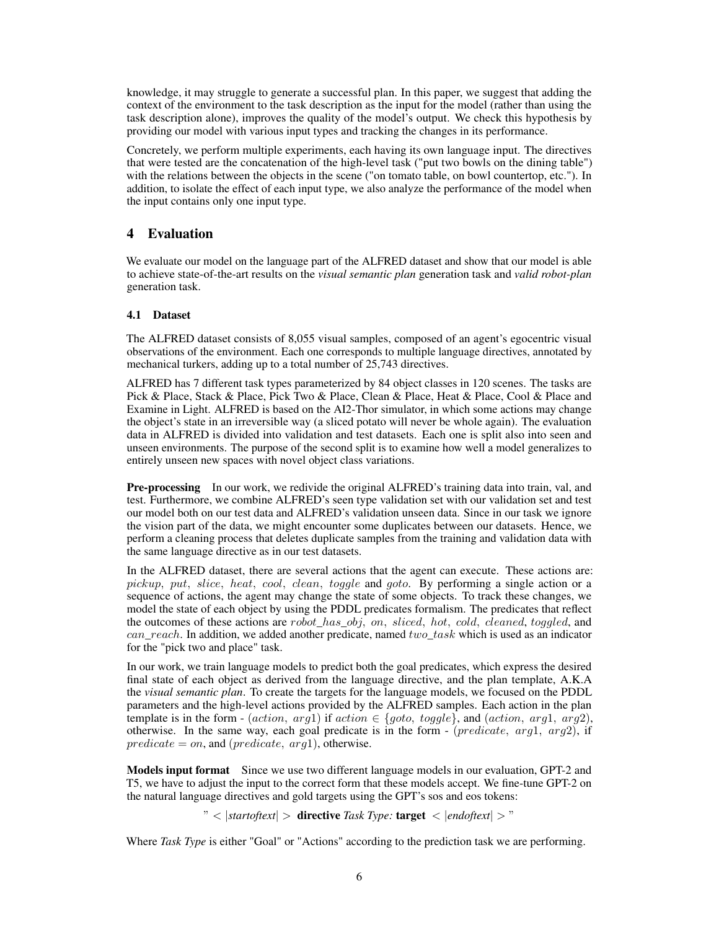knowledge, it may struggle to generate a successful plan. In this paper, we suggest that adding the context of the environment to the task description as the input for the model (rather than using the task description alone), improves the quality of the model's output. We check this hypothesis by providing our model with various input types and tracking the changes in its performance.

Concretely, we perform multiple experiments, each having its own language input. The directives that were tested are the concatenation of the high-level task ("put two bowls on the dining table") with the relations between the objects in the scene ("on tomato table, on bowl countertop, etc."). In addition, to isolate the effect of each input type, we also analyze the performance of the model when the input contains only one input type.

## 4 Evaluation

We evaluate our model on the language part of the ALFRED dataset and show that our model is able to achieve state-of-the-art results on the *visual semantic plan* generation task and *valid robot-plan* generation task.

## 4.1 Dataset

The ALFRED dataset consists of 8,055 visual samples, composed of an agent's egocentric visual observations of the environment. Each one corresponds to multiple language directives, annotated by mechanical turkers, adding up to a total number of 25,743 directives.

ALFRED has 7 different task types parameterized by 84 object classes in 120 scenes. The tasks are Pick & Place, Stack & Place, Pick Two & Place, Clean & Place, Heat & Place, Cool & Place and Examine in Light. ALFRED is based on the AI2-Thor simulator, in which some actions may change the object's state in an irreversible way (a sliced potato will never be whole again). The evaluation data in ALFRED is divided into validation and test datasets. Each one is split also into seen and unseen environments. The purpose of the second split is to examine how well a model generalizes to entirely unseen new spaces with novel object class variations.

**Pre-processing** In our work, we redivide the original ALFRED's training data into train, val, and test. Furthermore, we combine ALFRED's seen type validation set with our validation set and test our model both on our test data and ALFRED's validation unseen data. Since in our task we ignore the vision part of the data, we might encounter some duplicates between our datasets. Hence, we perform a cleaning process that deletes duplicate samples from the training and validation data with the same language directive as in our test datasets.

In the ALFRED dataset, there are several actions that the agent can execute. These actions are: pickup, put, slice, heat, cool, clean, toggle and goto. By performing a single action or a sequence of actions, the agent may change the state of some objects. To track these changes, we model the state of each object by using the PDDL predicates formalism. The predicates that reflect the outcomes of these actions are robot\_has\_obj, on, sliced, hot, cold, cleaned, toggled, and can reach. In addition, we added another predicate, named two task which is used as an indicator for the "pick two and place" task.

In our work, we train language models to predict both the goal predicates, which express the desired final state of each object as derived from the language directive, and the plan template, A.K.A the *visual semantic plan*. To create the targets for the language models, we focused on the PDDL parameters and the high-level actions provided by the ALFRED samples. Each action in the plan template is in the form - (action,  $arg(1)$  if action  $\in \{goto, toggle\}$ , and (action,  $arg(1, arg(2))$ , otherwise. In the same way, each goal predicate is in the form  $-(predicate, arg1, arg2)$ , if  $predicate = on$ , and  $(predicate, arg1)$ , otherwise.

Models input format Since we use two different language models in our evaluation, GPT-2 and T5, we have to adjust the input to the correct form that these models accept. We fine-tune GPT-2 on the natural language directives and gold targets using the GPT's sos and eos tokens:

 $\degree$  < |startoftext| > **directive** *Task Type:* **target** < |endoftext| >  $\degree$ 

Where *Task Type* is either "Goal" or "Actions" according to the prediction task we are performing.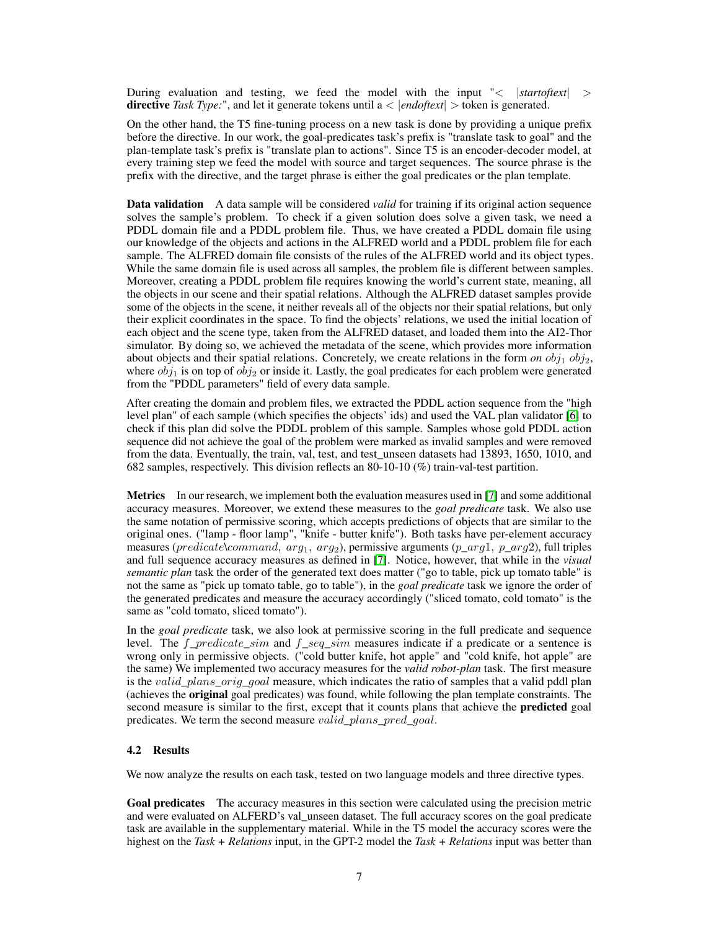During evaluation and testing, we feed the model with the input  $\leq$   $|startoftext| >$ directive *Task Type:*", and let it generate tokens until  $a < |endoftext| z$  token is generated.

On the other hand, the T5 fine-tuning process on a new task is done by providing a unique prefix before the directive. In our work, the goal-predicates task's prefix is "translate task to goal" and the plan-template task's prefix is "translate plan to actions". Since T5 is an encoder-decoder model, at every training step we feed the model with source and target sequences. The source phrase is the prefix with the directive, and the target phrase is either the goal predicates or the plan template.

**Data validation** A data sample will be considered *valid* for training if its original action sequence solves the sample's problem. To check if a given solution does solve a given task, we need a PDDL domain file and a PDDL problem file. Thus, we have created a PDDL domain file using our knowledge of the objects and actions in the ALFRED world and a PDDL problem file for each sample. The ALFRED domain file consists of the rules of the ALFRED world and its object types. While the same domain file is used across all samples, the problem file is different between samples. Moreover, creating a PDDL problem file requires knowing the world's current state, meaning, all the objects in our scene and their spatial relations. Although the ALFRED dataset samples provide some of the objects in the scene, it neither reveals all of the objects nor their spatial relations, but only their explicit coordinates in the space. To find the objects' relations, we used the initial location of each object and the scene type, taken from the ALFRED dataset, and loaded them into the AI2-Thor simulator. By doing so, we achieved the metadata of the scene, which provides more information about objects and their spatial relations. Concretely, we create relations in the form *on*  $obj_1$   $obj_2$ , where  $obj_1$  is on top of  $obj_2$  or inside it. Lastly, the goal predicates for each problem were generated from the "PDDL parameters" field of every data sample.

After creating the domain and problem files, we extracted the PDDL action sequence from the "high level plan" of each sample (which specifies the objects' ids) and used the VAL plan validator [\[6\]](#page-9-14) to check if this plan did solve the PDDL problem of this sample. Samples whose gold PDDL action sequence did not achieve the goal of the problem were marked as invalid samples and were removed from the data. Eventually, the train, val, test, and test\_unseen datasets had 13893, 1650, 1010, and 682 samples, respectively. This division reflects an 80-10-10 (%) train-val-test partition.

Metrics In our research, we implement both the evaluation measures used in [\[7\]](#page-9-9) and some additional accuracy measures. Moreover, we extend these measures to the *goal predicate* task. We also use the same notation of permissive scoring, which accepts predictions of objects that are similar to the original ones. ("lamp - floor lamp", "knife - butter knife"). Both tasks have per-element accuracy measures (predicate\command, arg<sub>1</sub>, arg<sub>2</sub>), permissive arguments (p\_arg1, p\_arg2), full triples and full sequence accuracy measures as defined in [\[7\]](#page-9-9). Notice, however, that while in the *visual semantic plan* task the order of the generated text does matter ("go to table, pick up tomato table" is not the same as "pick up tomato table, go to table"), in the *goal predicate* task we ignore the order of the generated predicates and measure the accuracy accordingly ("sliced tomato, cold tomato" is the same as "cold tomato, sliced tomato").

In the *goal predicate* task, we also look at permissive scoring in the full predicate and sequence level. The  $f\_predicate\_sim$  and  $f\_seq\_sim$  measures indicate if a predicate or a sentence is wrong only in permissive objects. ("cold butter knife, hot apple" and "cold knife, hot apple" are the same) We implemented two accuracy measures for the *valid robot-plan* task. The first measure is the valid\_plans\_orig\_goal measure, which indicates the ratio of samples that a valid pddl plan (achieves the original goal predicates) was found, while following the plan template constraints. The second measure is similar to the first, except that it counts plans that achieve the **predicted** goal predicates. We term the second measure valid\_plans\_pred\_goal.

#### 4.2 Results

We now analyze the results on each task, tested on two language models and three directive types.

Goal predicates The accuracy measures in this section were calculated using the precision metric and were evaluated on ALFERD's val\_unseen dataset. The full accuracy scores on the goal predicate task are available in the supplementary material. While in the T5 model the accuracy scores were the highest on the *Task + Relations* input, in the GPT-2 model the *Task + Relations* input was better than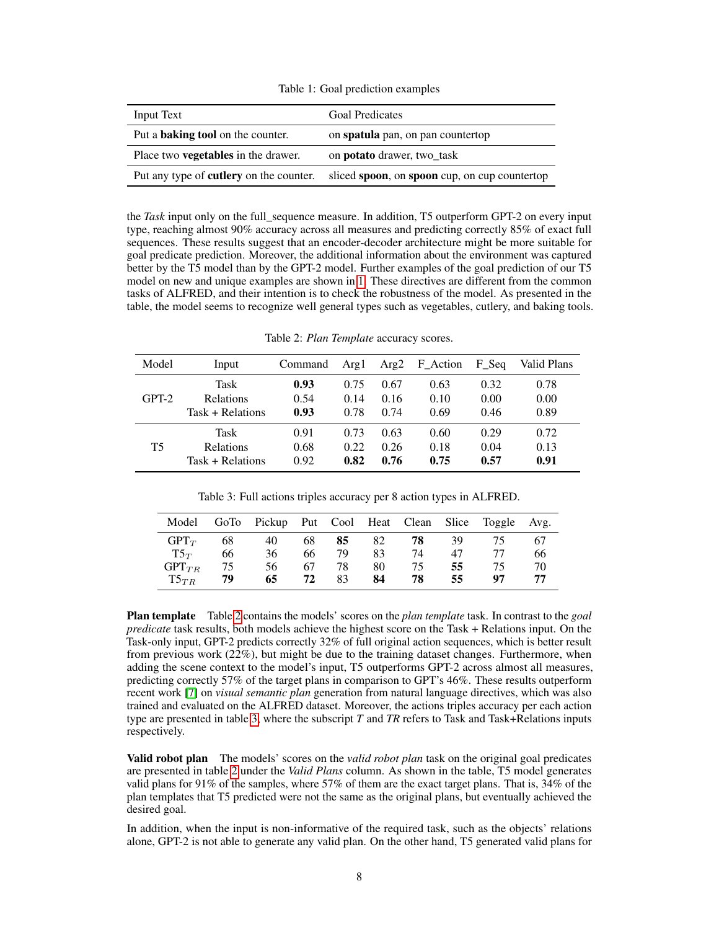<span id="page-7-0"></span>

| Table 1: Goal prediction examples |  |  |
|-----------------------------------|--|--|
|-----------------------------------|--|--|

| Input Text                                     | <b>Goal Predicates</b>                        |
|------------------------------------------------|-----------------------------------------------|
| Put a <b>baking tool</b> on the counter.       | on spatula pan, on pan countertop             |
| Place two <b>vegetables</b> in the drawer.     | on <b>potato</b> drawer, two_task             |
| Put any type of <b>cutlery</b> on the counter. | sliced spoon, on spoon cup, on cup countertop |

the *Task* input only on the full\_sequence measure. In addition, T5 outperform GPT-2 on every input type, reaching almost 90% accuracy across all measures and predicting correctly 85% of exact full sequences. These results suggest that an encoder-decoder architecture might be more suitable for goal predicate prediction. Moreover, the additional information about the environment was captured better by the T5 model than by the GPT-2 model. Further examples of the goal prediction of our T5 model on new and unique examples are shown in [1.](#page-7-0) These directives are different from the common tasks of ALFRED, and their intention is to check the robustness of the model. As presented in the table, the model seems to recognize well general types such as vegetables, cutlery, and baking tools.

| Model   | Input            | Command | Arg1 | Arg2 | F_Action | F Seq | Valid Plans |
|---------|------------------|---------|------|------|----------|-------|-------------|
| $GPT-2$ | Task             | 0.93    | 0.75 | 0.67 | 0.63     | 0.32  | 0.78        |
|         | <b>Relations</b> | 0.54    | 0.14 | 0.16 | 0.10     | 0.00  | 0.00        |
|         | Task + Relations | 0.93    | 0.78 | 0.74 | 0.69     | 0.46  | 0.89        |
| T5      | Task             | 0.91    | 0.73 | 0.63 | 0.60     | 0.29  | 0.72        |
|         | <b>Relations</b> | 0.68    | 0.22 | 0.26 | 0.18     | 0.04  | 0.13        |
|         | Task + Relations | 0.92    | 0.82 | 0.76 | 0.75     | 0.57  | 0.91        |

<span id="page-7-1"></span>Table 2: *Plan Template* accuracy scores.

<span id="page-7-2"></span>Table 3: Full actions triples accuracy per 8 action types in ALFRED.

| Model      | GoTo | Pickup Put Cool Heat Clean Slice Toggle |    |    |    |    |    |    | Avg. |
|------------|------|-----------------------------------------|----|----|----|----|----|----|------|
| $GPT_T$    | 68   | 40                                      | 68 | 85 | 82 | 78 | 39 | 75 | 67   |
| $T5_T$     | 66   | 36                                      | 66 | 79 | 83 | 74 | 47 | 77 | 66   |
| $GPT_{TR}$ | 75   | 56                                      | 67 | 78 | 80 | 75 | 55 | 75 | 70   |
| $T5_{TR}$  | 79   | 65                                      | 72 | 83 | 84 | 78 | 55 | 97 | 77   |

Plan template Table [2](#page-7-1) contains the models' scores on the *plan template* task. In contrast to the *goal predicate* task results, both models achieve the highest score on the Task + Relations input. On the Task-only input, GPT-2 predicts correctly 32% of full original action sequences, which is better result from previous work (22%), but might be due to the training dataset changes. Furthermore, when adding the scene context to the model's input, T5 outperforms GPT-2 across almost all measures, predicting correctly 57% of the target plans in comparison to GPT's 46%. These results outperform recent work [\[7\]](#page-9-9) on *visual semantic plan* generation from natural language directives, which was also trained and evaluated on the ALFRED dataset. Moreover, the actions triples accuracy per each action type are presented in table [3,](#page-7-2) where the subscript *T* and *TR* refers to Task and Task+Relations inputs respectively.

Valid robot plan The models' scores on the *valid robot plan* task on the original goal predicates are presented in table [2](#page-7-1) under the *Valid Plans* column. As shown in the table, T5 model generates valid plans for 91% of the samples, where 57% of them are the exact target plans. That is, 34% of the plan templates that T5 predicted were not the same as the original plans, but eventually achieved the desired goal.

In addition, when the input is non-informative of the required task, such as the objects' relations alone, GPT-2 is not able to generate any valid plan. On the other hand, T5 generated valid plans for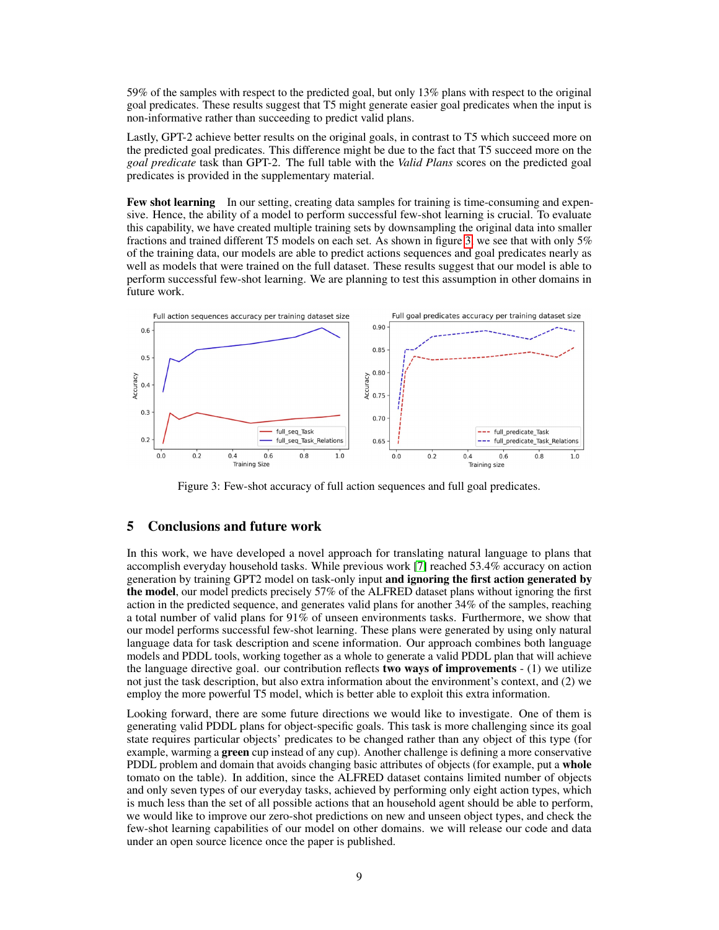59% of the samples with respect to the predicted goal, but only 13% plans with respect to the original goal predicates. These results suggest that T5 might generate easier goal predicates when the input is non-informative rather than succeeding to predict valid plans.

Lastly, GPT-2 achieve better results on the original goals, in contrast to T5 which succeed more on the predicted goal predicates. This difference might be due to the fact that T5 succeed more on the *goal predicate* task than GPT-2. The full table with the *Valid Plans* scores on the predicted goal predicates is provided in the supplementary material.

Few shot learning In our setting, creating data samples for training is time-consuming and expensive. Hence, the ability of a model to perform successful few-shot learning is crucial. To evaluate this capability, we have created multiple training sets by downsampling the original data into smaller fractions and trained different T5 models on each set. As shown in figure [3,](#page-8-0) we see that with only 5% of the training data, our models are able to predict actions sequences and goal predicates nearly as well as models that were trained on the full dataset. These results suggest that our model is able to perform successful few-shot learning. We are planning to test this assumption in other domains in future work.



<span id="page-8-0"></span>Figure 3: Few-shot accuracy of full action sequences and full goal predicates.

## 5 Conclusions and future work

In this work, we have developed a novel approach for translating natural language to plans that accomplish everyday household tasks. While previous work [\[7\]](#page-9-9) reached 53.4% accuracy on action generation by training GPT2 model on task-only input and ignoring the first action generated by the model, our model predicts precisely 57% of the ALFRED dataset plans without ignoring the first action in the predicted sequence, and generates valid plans for another 34% of the samples, reaching a total number of valid plans for 91% of unseen environments tasks. Furthermore, we show that our model performs successful few-shot learning. These plans were generated by using only natural language data for task description and scene information. Our approach combines both language models and PDDL tools, working together as a whole to generate a valid PDDL plan that will achieve the language directive goal. our contribution reflects **two ways of improvements**  $\cdot$  (1) we utilize not just the task description, but also extra information about the environment's context, and (2) we employ the more powerful T5 model, which is better able to exploit this extra information.

Looking forward, there are some future directions we would like to investigate. One of them is generating valid PDDL plans for object-specific goals. This task is more challenging since its goal state requires particular objects' predicates to be changed rather than any object of this type (for example, warming a **green** cup instead of any cup). Another challenge is defining a more conservative PDDL problem and domain that avoids changing basic attributes of objects (for example, put a **whole** tomato on the table). In addition, since the ALFRED dataset contains limited number of objects and only seven types of our everyday tasks, achieved by performing only eight action types, which is much less than the set of all possible actions that an household agent should be able to perform, we would like to improve our zero-shot predictions on new and unseen object types, and check the few-shot learning capabilities of our model on other domains. we will release our code and data under an open source licence once the paper is published.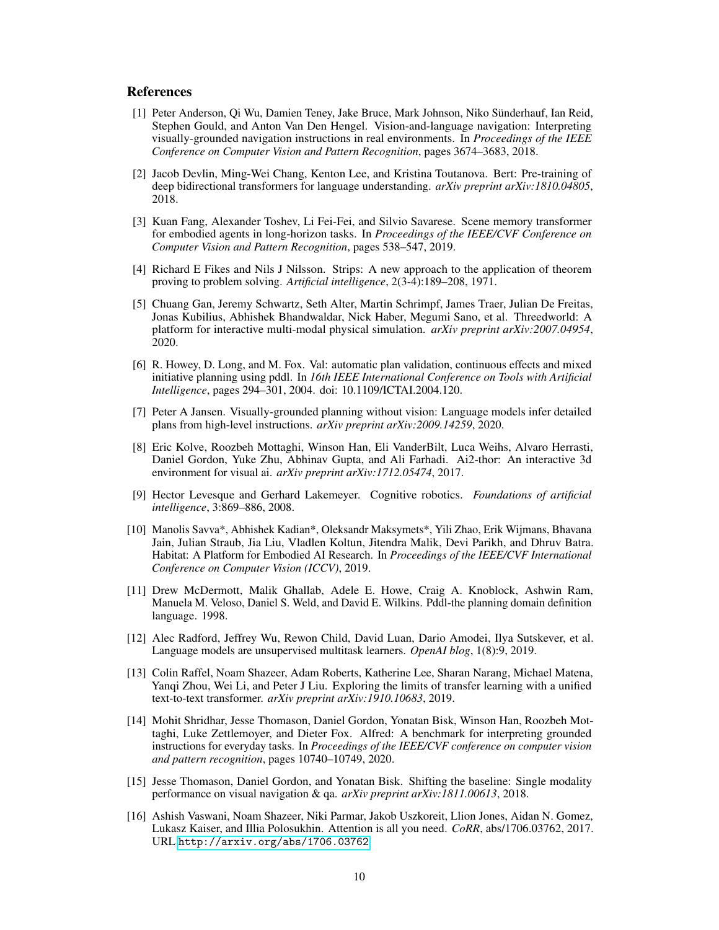## References

- <span id="page-9-5"></span>[1] Peter Anderson, Qi Wu, Damien Teney, Jake Bruce, Mark Johnson, Niko Sünderhauf, Ian Reid, Stephen Gould, and Anton Van Den Hengel. Vision-and-language navigation: Interpreting visually-grounded navigation instructions in real environments. In *Proceedings of the IEEE Conference on Computer Vision and Pattern Recognition*, pages 3674–3683, 2018.
- <span id="page-9-11"></span>[2] Jacob Devlin, Ming-Wei Chang, Kenton Lee, and Kristina Toutanova. Bert: Pre-training of deep bidirectional transformers for language understanding. *arXiv preprint arXiv:1810.04805*, 2018.
- <span id="page-9-8"></span>[3] Kuan Fang, Alexander Toshev, Li Fei-Fei, and Silvio Savarese. Scene memory transformer for embodied agents in long-horizon tasks. In *Proceedings of the IEEE/CVF Conference on Computer Vision and Pattern Recognition*, pages 538–547, 2019.
- <span id="page-9-15"></span>[4] Richard E Fikes and Nils J Nilsson. Strips: A new approach to the application of theorem proving to problem solving. *Artificial intelligence*, 2(3-4):189–208, 1971.
- <span id="page-9-7"></span>[5] Chuang Gan, Jeremy Schwartz, Seth Alter, Martin Schrimpf, James Traer, Julian De Freitas, Jonas Kubilius, Abhishek Bhandwaldar, Nick Haber, Megumi Sano, et al. Threedworld: A platform for interactive multi-modal physical simulation. *arXiv preprint arXiv:2007.04954*, 2020.
- <span id="page-9-14"></span>[6] R. Howey, D. Long, and M. Fox. Val: automatic plan validation, continuous effects and mixed initiative planning using pddl. In *16th IEEE International Conference on Tools with Artificial Intelligence*, pages 294–301, 2004. doi: 10.1109/ICTAI.2004.120.
- <span id="page-9-9"></span>[7] Peter A Jansen. Visually-grounded planning without vision: Language models infer detailed plans from high-level instructions. *arXiv preprint arXiv:2009.14259*, 2020.
- <span id="page-9-3"></span>[8] Eric Kolve, Roozbeh Mottaghi, Winson Han, Eli VanderBilt, Luca Weihs, Alvaro Herrasti, Daniel Gordon, Yuke Zhu, Abhinav Gupta, and Ali Farhadi. Ai2-thor: An interactive 3d environment for visual ai. *arXiv preprint arXiv:1712.05474*, 2017.
- <span id="page-9-0"></span>[9] Hector Levesque and Gerhard Lakemeyer. Cognitive robotics. *Foundations of artificial intelligence*, 3:869–886, 2008.
- <span id="page-9-6"></span>[10] Manolis Savva\*, Abhishek Kadian\*, Oleksandr Maksymets\*, Yili Zhao, Erik Wijmans, Bhavana Jain, Julian Straub, Jia Liu, Vladlen Koltun, Jitendra Malik, Devi Parikh, and Dhruv Batra. Habitat: A Platform for Embodied AI Research. In *Proceedings of the IEEE/CVF International Conference on Computer Vision (ICCV)*, 2019.
- <span id="page-9-1"></span>[11] Drew McDermott, Malik Ghallab, Adele E. Howe, Craig A. Knoblock, Ashwin Ram, Manuela M. Veloso, Daniel S. Weld, and David E. Wilkins. Pddl-the planning domain definition language. 1998.
- <span id="page-9-10"></span>[12] Alec Radford, Jeffrey Wu, Rewon Child, David Luan, Dario Amodei, Ilya Sutskever, et al. Language models are unsupervised multitask learners. *OpenAI blog*, 1(8):9, 2019.
- <span id="page-9-13"></span>[13] Colin Raffel, Noam Shazeer, Adam Roberts, Katherine Lee, Sharan Narang, Michael Matena, Yanqi Zhou, Wei Li, and Peter J Liu. Exploring the limits of transfer learning with a unified text-to-text transformer. *arXiv preprint arXiv:1910.10683*, 2019.
- <span id="page-9-4"></span>[14] Mohit Shridhar, Jesse Thomason, Daniel Gordon, Yonatan Bisk, Winson Han, Roozbeh Mottaghi, Luke Zettlemoyer, and Dieter Fox. Alfred: A benchmark for interpreting grounded instructions for everyday tasks. In *Proceedings of the IEEE/CVF conference on computer vision and pattern recognition*, pages 10740–10749, 2020.
- <span id="page-9-12"></span>[15] Jesse Thomason, Daniel Gordon, and Yonatan Bisk. Shifting the baseline: Single modality performance on visual navigation & qa. *arXiv preprint arXiv:1811.00613*, 2018.
- <span id="page-9-2"></span>[16] Ashish Vaswani, Noam Shazeer, Niki Parmar, Jakob Uszkoreit, Llion Jones, Aidan N. Gomez, Lukasz Kaiser, and Illia Polosukhin. Attention is all you need. *CoRR*, abs/1706.03762, 2017. URL <http://arxiv.org/abs/1706.03762>.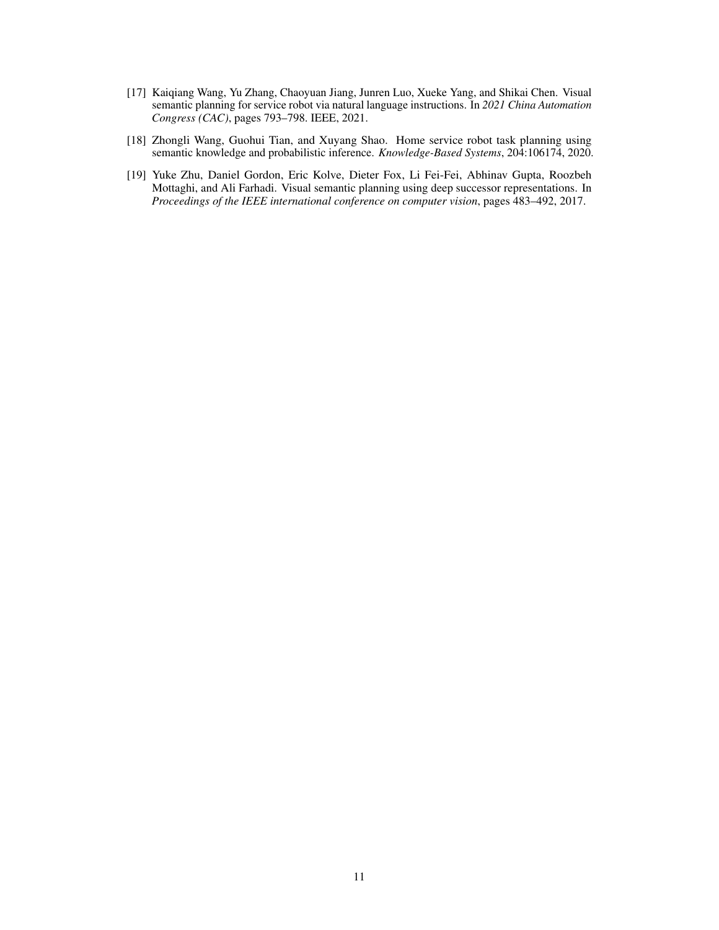- <span id="page-10-1"></span>[17] Kaiqiang Wang, Yu Zhang, Chaoyuan Jiang, Junren Luo, Xueke Yang, and Shikai Chen. Visual semantic planning for service robot via natural language instructions. In *2021 China Automation Congress (CAC)*, pages 793–798. IEEE, 2021.
- <span id="page-10-2"></span>[18] Zhongli Wang, Guohui Tian, and Xuyang Shao. Home service robot task planning using semantic knowledge and probabilistic inference. *Knowledge-Based Systems*, 204:106174, 2020.
- <span id="page-10-0"></span>[19] Yuke Zhu, Daniel Gordon, Eric Kolve, Dieter Fox, Li Fei-Fei, Abhinav Gupta, Roozbeh Mottaghi, and Ali Farhadi. Visual semantic planning using deep successor representations. In *Proceedings of the IEEE international conference on computer vision*, pages 483–492, 2017.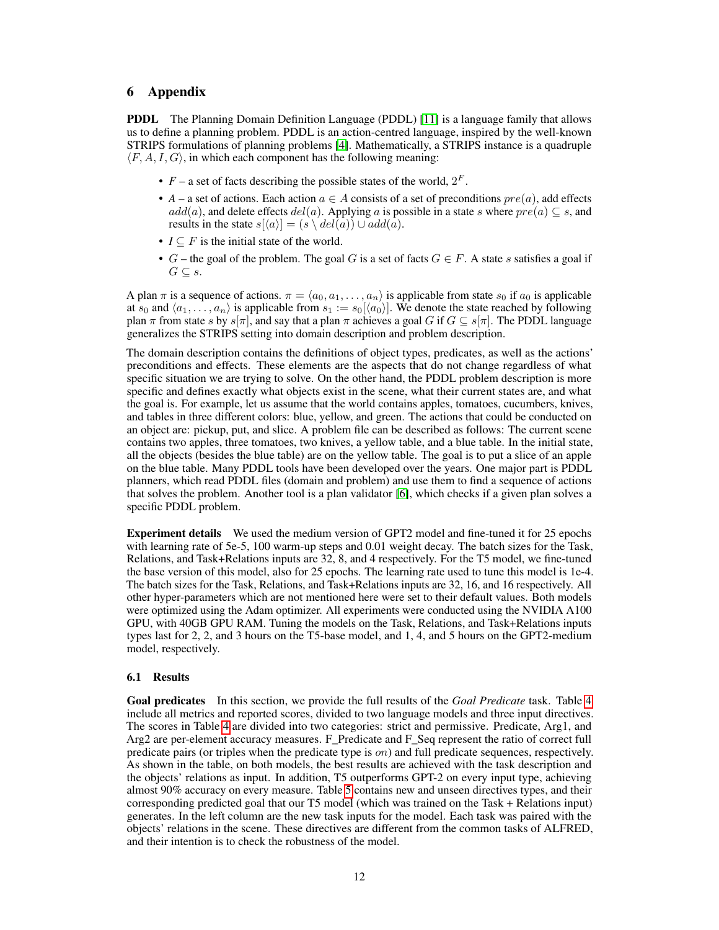## 6 Appendix

PDDL The Planning Domain Definition Language (PDDL) [\[11\]](#page-9-1) is a language family that allows us to define a planning problem. PDDL is an action-centred language, inspired by the well-known STRIPS formulations of planning problems [\[4\]](#page-9-15). Mathematically, a STRIPS instance is a quadruple  $\langle F, A, I, G \rangle$ , in which each component has the following meaning:

- $F a$  set of facts describing the possible states of the world,  $2^F$ .
- *A* a set of actions. Each action  $a \in A$  consists of a set of preconditions  $pre(a)$ , add effects  $add(a)$ , and delete effects  $del(a)$ . Applying a is possible in a state s where  $pre(a) \subseteq s$ , and results in the state  $s[\langle a \rangle] = (s \setminus del(a)) \cup add(a)$ .
- $I \subseteq F$  is the initial state of the world.
- $G$  the goal of the problem. The goal G is a set of facts  $G \in F$ . A state s satisfies a goal if  $G \subseteq s$ .

A plan  $\pi$  is a sequence of actions.  $\pi = \langle a_0, a_1, \ldots, a_n \rangle$  is applicable from state  $s_0$  if  $a_0$  is applicable at  $s_0$  and  $\langle a_1, \ldots, a_n \rangle$  is applicable from  $s_1 := s_0[\langle a_0 \rangle]$ . We denote the state reached by following plan  $\pi$  from state s by  $s[\pi]$ , and say that a plan  $\pi$  achieves a goal G if  $G \subseteq s[\pi]$ . The PDDL language generalizes the STRIPS setting into domain description and problem description.

The domain description contains the definitions of object types, predicates, as well as the actions' preconditions and effects. These elements are the aspects that do not change regardless of what specific situation we are trying to solve. On the other hand, the PDDL problem description is more specific and defines exactly what objects exist in the scene, what their current states are, and what the goal is. For example, let us assume that the world contains apples, tomatoes, cucumbers, knives, and tables in three different colors: blue, yellow, and green. The actions that could be conducted on an object are: pickup, put, and slice. A problem file can be described as follows: The current scene contains two apples, three tomatoes, two knives, a yellow table, and a blue table. In the initial state, all the objects (besides the blue table) are on the yellow table. The goal is to put a slice of an apple on the blue table. Many PDDL tools have been developed over the years. One major part is PDDL planners, which read PDDL files (domain and problem) and use them to find a sequence of actions that solves the problem. Another tool is a plan validator [\[6\]](#page-9-14), which checks if a given plan solves a specific PDDL problem.

Experiment details We used the medium version of GPT2 model and fine-tuned it for 25 epochs with learning rate of 5e-5, 100 warm-up steps and 0.01 weight decay. The batch sizes for the Task, Relations, and Task+Relations inputs are 32, 8, and 4 respectively. For the T5 model, we fine-tuned the base version of this model, also for 25 epochs. The learning rate used to tune this model is 1e-4. The batch sizes for the Task, Relations, and Task+Relations inputs are 32, 16, and 16 respectively. All other hyper-parameters which are not mentioned here were set to their default values. Both models were optimized using the Adam optimizer. All experiments were conducted using the NVIDIA A100 GPU, with 40GB GPU RAM. Tuning the models on the Task, Relations, and Task+Relations inputs types last for 2, 2, and 3 hours on the T5-base model, and 1, 4, and 5 hours on the GPT2-medium model, respectively.

## 6.1 Results

Goal predicates In this section, we provide the full results of the *Goal Predicate* task. Table [4](#page-12-0) include all metrics and reported scores, divided to two language models and three input directives. The scores in Table [4](#page-12-0) are divided into two categories: strict and permissive. Predicate, Arg1, and Arg2 are per-element accuracy measures. F\_Predicate and F\_Seq represent the ratio of correct full predicate pairs (or triples when the predicate type is on) and full predicate sequences, respectively. As shown in the table, on both models, the best results are achieved with the task description and the objects' relations as input. In addition, T5 outperforms GPT-2 on every input type, achieving almost 90% accuracy on every measure. Table [5](#page-12-1) contains new and unseen directives types, and their corresponding predicted goal that our T5 model (which was trained on the Task + Relations input) generates. In the left column are the new task inputs for the model. Each task was paired with the objects' relations in the scene. These directives are different from the common tasks of ALFRED, and their intention is to check the robustness of the model.